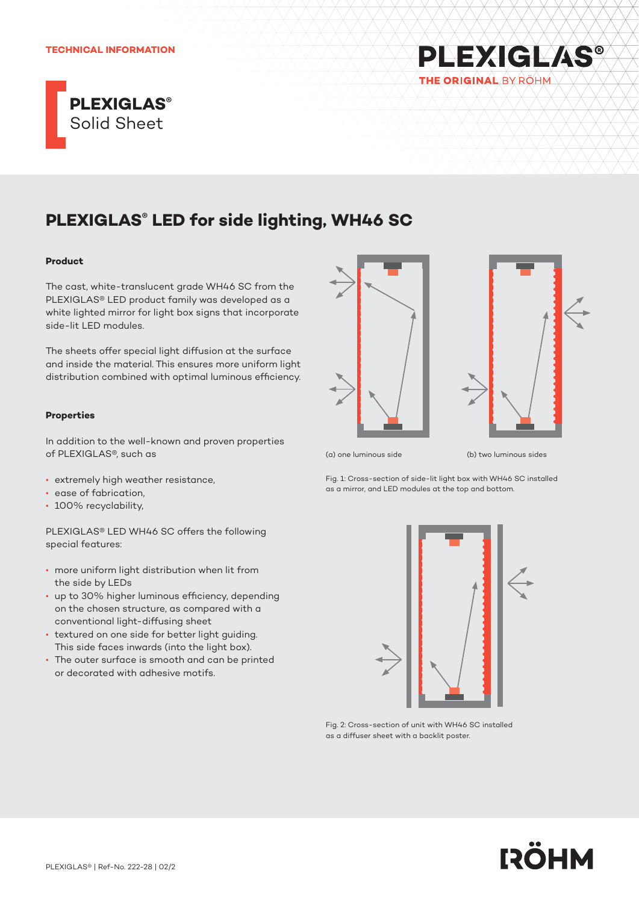#### **TECHNICAL INFORMATION**



# **PLEXIGLAS® LED for side lighting, WH46 SC**

#### **Product**

The cast, white-translucent grade WH46 SC from the PLEXIGLAS® LED product family was developed as a white lighted mirror for light box signs that incorporate side-lit LED modules.

The sheets offer special light diffusion at the surface and inside the material. This ensures more uniform light distribution combined with optimal luminous efficiency.

## **Properties**

In addition to the well-known and proven properties of PLEXIGLAS®, such as

- extremely high weather resistance,
- ease of fabrication,
- 100% recyclability,

PLEXIGLAS® LED WH46 SC offers the following special features:

- more uniform light distribution when lit from the side by LEDs
- up to 30% higher luminous efficiency, depending on the chosen structure, as compared with a conventional light-diffusing sheet
- textured on one side for better light guiding. This side faces inwards (into the light box).
- The outer surface is smooth and can be printed or decorated with adhesive motifs.





**PLEXIGLAS®** 

THE ORIGINAL BY RÖHM

(a) one luminous side (b) two luminous sides

Fig. 1: Cross-section of side-lit light box with WH46 SC installed as a mirror, and LED modules at the top and bottom.



Fig. 2: Cross-section of unit with WH46 SC installed as a diffuser sheet with a backlit poster.

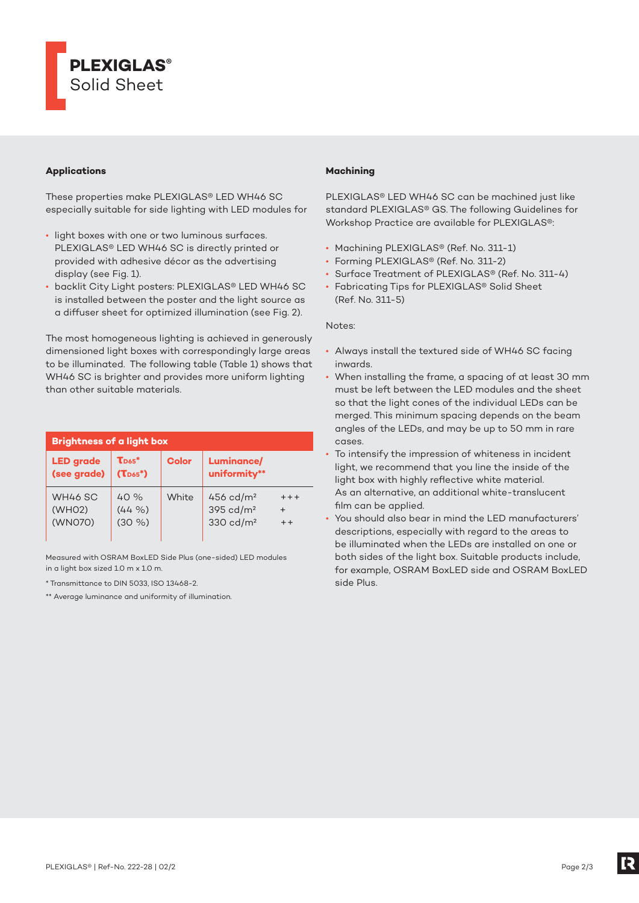

## **Applications**

These properties make PLEXIGLAS® LED WH46 SC especially suitable for side lighting with LED modules for

- light boxes with one or two luminous surfaces. PLEXIGLAS® LED WH46 SC is directly printed or provided with adhesive décor as the advertising display (see Fig. 1).
- backlit City Light posters: PLEXIGLAS® LED WH46 SC is installed between the poster and the light source as a diffuser sheet for optimized illumination (see Fig. 2).

The most homogeneous lighting is achieved in generously dimensioned light boxes with correspondingly large areas to be illuminated. The following table (Table 1) shows that WH46 SC is brighter and provides more uniform lighting than other suitable materials.

| <b>Brightness of a light box</b>          |                                            |              |                                                              |                           |  |
|-------------------------------------------|--------------------------------------------|--------------|--------------------------------------------------------------|---------------------------|--|
| <b>LED</b> grade<br>(see grade)           | $\mathbf{T}_{\text{D65}}^*$<br>$(T_{D65})$ | <b>Color</b> | <b>Luminance/</b><br>uniformity**                            |                           |  |
| WH46 SC<br>(WHO <sub>2</sub> )<br>(WN070) | 40%<br>$(44\% )$<br>$(30\% )$              | White        | 456 cd/ $m2$<br>$395 \text{ cd/m}^2$<br>$330 \text{ cd/m}^2$ | $++++$<br>$\div$<br>$+ +$ |  |

Measured with OSRAM BoxLED Side Plus (one-sided) LED modules in a light box sized 1.0 m x 1.0 m.

\* Transmittance to DIN 5033, ISO 13468-2.

\*\* Average luminance and uniformity of illumination.

## **Machining**

PLEXIGLAS® LED WH46 SC can be machined just like standard PLEXIGLAS® GS. The following Guidelines for Workshop Practice are available for PLEXIGLAS®:

- Machining PLEXIGLAS® (Ref. No. 311-1)
- Forming PLEXIGLAS® (Ref. No. 311-2)
- Surface Treatment of PLEXIGLAS® (Ref. No. 311-4)
- Fabricating Tips for PLEXIGLAS® Solid Sheet (Ref. No. 311-5)

Notes:

- Always install the textured side of WH46 SC facing inwards.
- When installing the frame, a spacing of at least 30 mm must be left between the LED modules and the sheet so that the light cones of the individual LEDs can be merged. This minimum spacing depends on the beam angles of the LEDs, and may be up to 50 mm in rare cases.
- To intensify the impression of whiteness in incident light, we recommend that you line the inside of the light box with highly reflective white material. As an alternative, an additional white-translucent film can be applied.
- You should also bear in mind the LED manufacturers' descriptions, especially with regard to the areas to be illuminated when the LEDs are installed on one or both sides of the light box. Suitable products include, for example, OSRAM BoxLED side and OSRAM BoxLED side Plus.